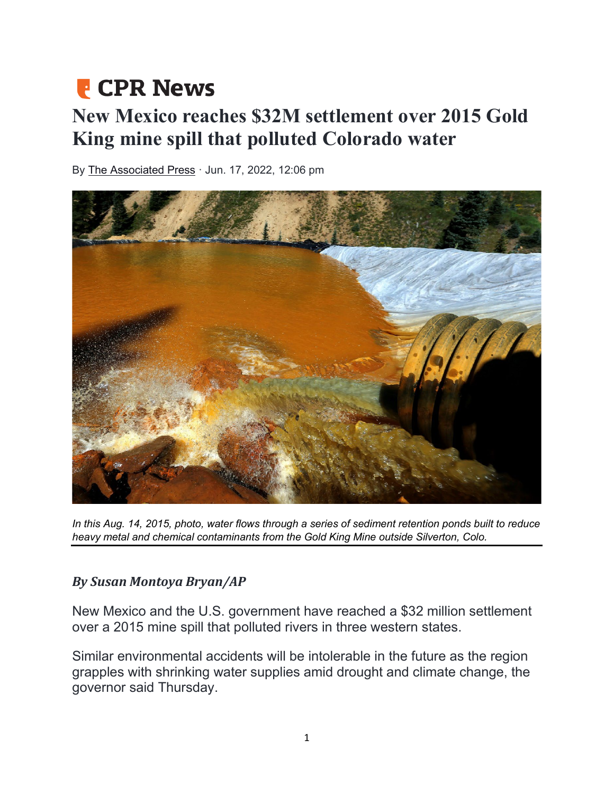## **F** CPR News

## **New Mexico reaches \$32M settlement over 2015 Gold King mine spill that polluted Colorado water**

By [The Associated Press](https://www.cpr.org/author/the-associated-press/) · Jun. 17, 2022, 12:06 pm



*In this Aug. 14, 2015, photo, water flows through a series of sediment retention ponds built to reduce heavy metal and chemical contaminants from the Gold King Mine outside Silverton, Colo.* 

## *By Susan Montoya Bryan/AP*

New Mexico and the U.S. government have reached a \$32 million settlement over a 2015 mine spill that polluted rivers in three western states.

Similar environmental accidents will be intolerable in the future as the region grapples with shrinking water supplies amid drought and climate change, the governor said Thursday.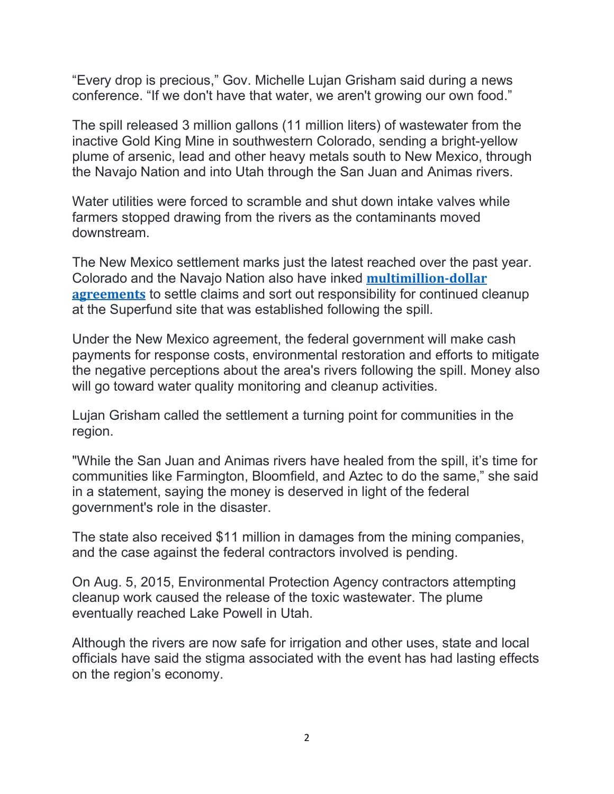"Every drop is precious," Gov. Michelle Lujan Grisham said during a news conference. "If we don't have that water, we aren't growing our own food."

The spill released 3 million gallons (11 million liters) of wastewater from the inactive Gold King Mine in southwestern Colorado, sending a bright-yellow plume of arsenic, lead and other heavy metals south to New Mexico, through the Navajo Nation and into Utah through the San Juan and Animas rivers.

Water utilities were forced to scramble and shut down intake valves while farmers stopped drawing from the rivers as the contaminants moved downstream.

The New Mexico settlement marks just the latest reached over the past year. Colorado and the Navajo Nation also have inked **[multimillion-dollar](https://apnews.com/article/business-us-environmental-protection-agency-denver-colorado-environment-3c20f69f0dfe7855b1eebe68eb92a459) [agreements](https://apnews.com/article/business-us-environmental-protection-agency-denver-colorado-environment-3c20f69f0dfe7855b1eebe68eb92a459)** to settle claims and sort out responsibility for continued cleanup at the Superfund site that was established following the spill.

Under the New Mexico agreement, the federal government will make cash payments for response costs, environmental restoration and efforts to mitigate the negative perceptions about the area's rivers following the spill. Money also will go toward water quality monitoring and cleanup activities.

Lujan Grisham called the settlement a turning point for communities in the region.

"While the San Juan and Animas rivers have healed from the spill, it's time for communities like Farmington, Bloomfield, and Aztec to do the same," she said in a statement, saying the money is deserved in light of the federal government's role in the disaster.

The state also received \$11 million in damages from the mining companies, and the case against the federal contractors involved is pending.

On Aug. 5, 2015, Environmental Protection Agency contractors attempting cleanup work caused the release of the toxic wastewater. The plume eventually reached Lake Powell in Utah.

Although the rivers are now safe for irrigation and other uses, state and local officials have said the stigma associated with the event has had lasting effects on the region's economy.